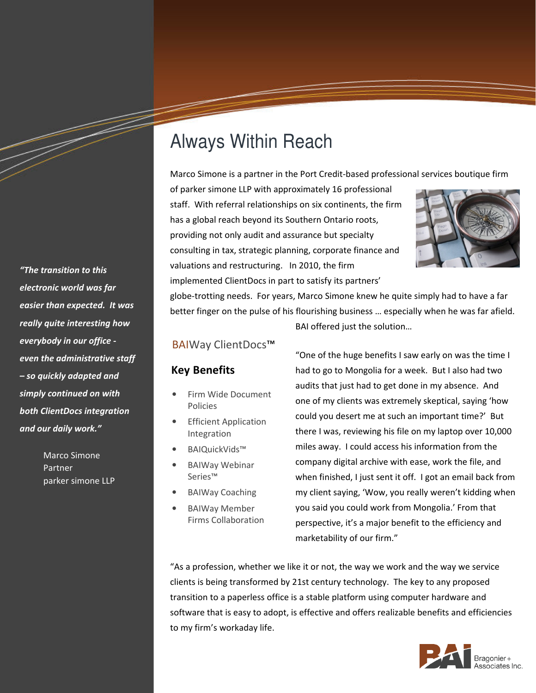## Always Within Reach

Marco Simone is a partner in the Port Credit-based professional services boutique firm

of parker simone LLP with approximately 16 professional staff. With referral relationships on six continents, the firm has a global reach beyond its Southern Ontario roots, providing not only audit and assurance but specialty consulting in tax, strategic planning, corporate finance and valuations and restructuring. In 2010, the firm implemented ClientDocs in part to satisfy its partners'



globe-trotting needs. For years, Marco Simone knew he quite simply had to have a far better finger on the pulse of his flourishing business … especially when he was far afield. BAI offered just the solution…

## BAIWay ClientDocs™

## Key Benefits

- Firm Wide Document Policies
- **Efficient Application** Integration
- BAIQuickVids™
- BAIWay Webinar Series™
- BAIWay Coaching
	- BAIWay Member Firms Collaboration

"One of the huge benefits I saw early on was the time I had to go to Mongolia for a week. But I also had two audits that just had to get done in my absence. And one of my clients was extremely skeptical, saying 'how could you desert me at such an important time?' But there I was, reviewing his file on my laptop over 10,000 miles away. I could access his information from the company digital archive with ease, work the file, and when finished, I just sent it off. I got an email back from my client saying, 'Wow, you really weren't kidding when you said you could work from Mongolia.' From that perspective, it's a major benefit to the efficiency and marketability of our firm."

"As a profession, whether we like it or not, the way we work and the way we service clients is being transformed by 21st century technology. The key to any proposed transition to a paperless office is a stable platform using computer hardware and software that is easy to adopt, is effective and offers realizable benefits and efficiencies to my firm's workaday life.



"The transition to this electronic world was far easier than expected. It was really quite interesting how everybody in our office even the administrative staff – so quickly adapted and simply continued on with both ClientDocs integration and our daily work."

> Marco Simone Partner parker simone LLP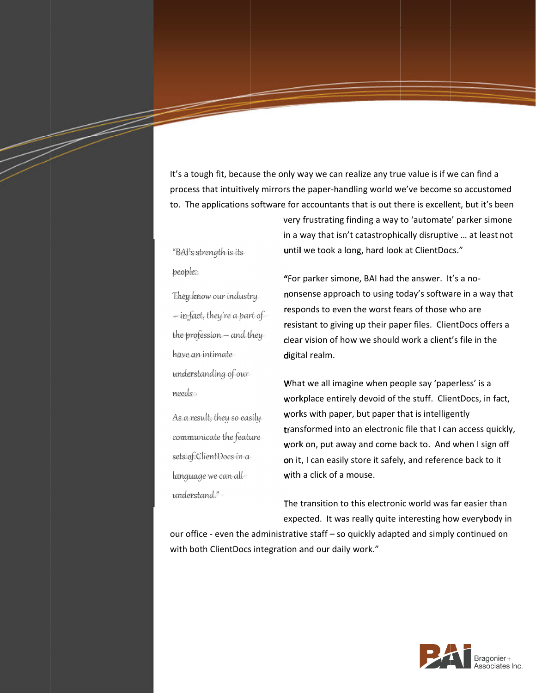It's a tough fit, because the only way we can realize any true value is if we can find a It's a tough fit, because the only way we can realize any true value is if we can find a<br>process that intuitively mirrors the paper-handling world we've become so accustomed to. The applications software for accountants that is out there is excellent, but it's been<br>very frustrating finding a way to 'automate' parker simone<br>in a way that isn't catastrophically disruptive ... at least not<br>"BAI's

"BAI's strength is its people.

They know our industry  $-$  in fact, they're a part of —in fact, they're a part of<br>the profession — and they have an intimate understanding of our nees

As a result, they so easily communicate the feature sets of ClientDocs in a language we can all understand."

"For parker simone, BAI had the answer. nonsense approach to using today's software in a way that<br>responds to even the worst fears of those who are<br>resistant to giving up their paper files. ClientDocs offers a responds to even the worst fears of those who are resistant to giving up their paper files. ClientDocs offers a clear vision of how we should work a client's file in the digital realm. digital realm. It's a tough fit, because the only way we can realize any true value is if we can find a<br>process that intuitively mirrors the paper-handling world we've become so accustomed<br>to. The applications software for accountants th very frustrating finding a way to 'automate' parker simone<br>in a way that isn't catastrophically disruptive ... at least not<br>until we took a long, hard look at ClientDocs."<br>"For parker simone, BAI had the answer. It's a noresponds to even the worst fears of those who are<br>resistant to giving up their paper files. ClientDocs offers<br>clear vision of how we should work a client's file in the<br>digital realm.<br>What we all imagine when people say 'pa nonsense approach to using today's software in a<br>responds to even the worst fears of those who are<br>resistant to giving up their paper files. ClientDocs<br>clear vision of how we should work a client's file ir<br>digital realm.<br>W at least not<br>nosense approach to using today's software in a way that<br>bonds to even the worst fears of those who are<br>stant to giving up their paper files. ClientDocs offers a<br>ir vision of how we should work a client's file in the<br>tal rea

in a way that isn't catastrophically disruptive … at least not

until we took a long, hard look at ClientDocs."

in fit, because the only way we can realize any true value<br>at intuitively mirrors the paper-handling world we've be<br>plications software for accountants that is out there is every frustrating finding a way to 'auto<br>in a wa What we all imagine when people say 'paperless' is a workplace entirely devoid of the stuff. works with paper, but paper that is intelligently transformed into an electronic file that I can access quickly, work on, put away and come bac on it, I can easily store it safely, and reference back to it with a click of a mouse. What we all imagine when people say 'paperless' is a<br>workplace entirely devoid of the stuff. ClientDocs, in<br>works with paper, but paper that is intelligently workplace entirely devoid of the stuff. ClientDocs, in factors with paper, but paper that is intelligently<br>transformed into an electronic file that I can access quick<br>work on, put away and come back to. And when I sign o<br>o a tough fit, because the only way we can realize any true value is if we can find a<br>
The applications software for accountants that is out there is excellent, but tris be<br>
The applications software for accountants that is works with paper, but paper that is intelligently<br>transformed into an electronic file that I can access quickly<br>work on, put away and come back to. And when I sign off for accountants that is out there is excellent, but it's been<br>very frustrating finding a way to 'automate' parker simone<br>in a way that isn't catastrophically disruptive ... at least not<br>until we took a long, hard look at C n, put away and come back to. And when I sign off<br>can easily store it safely, and reference back to it<br>click of a mouse.<br>nsition to this electronic world was far easier than handling world we've become so accustomed<br>ants that is out there is excellent, but it's beer<br>ing finding a way to 'automate' parker simone<br>isn't catastrophically disruptive ... at least not<br>callong, hard look at ClientDocs , in fact, into an electronic file that I can access qui<br>away and come back to. And when I sign<br>sily store it safely, and reference back to i<br>f a mouse.<br>n to this electronic world was far easier th<br>was really quite interesting how ev

The transition to this electronic world was far easier than on it, I can easily store it safely, and reference back to it<br>with a click of a mouse.<br>The transition to this electronic world was far easier than<br>expected. It was really quite interesting how everybody in

our office - even the administrative staff - so quickly adapted and simply continued on with both ClientDocs integration and our daily work."

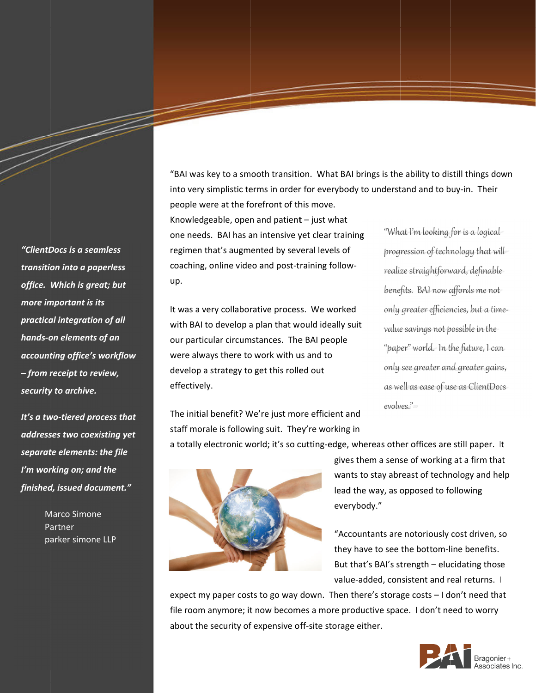"BAI was key to a smooth transition. What BAI brings is the ability to distill things down "BAI was key to a smooth transition. What BAI brings is the ability to distill<br>into very simplistic terms in order for everybody to understand and to buy-i people were at the forefront of this move.

Knowledgeable, open and patient  $-$  just what one needs. BAI has an intensive yet clear training people were at the forefront of this move.<br>Knowledgeable, open and patient – just what<br>one needs. BAI has an intensive yet clear train<br>regimen that's augmented by several levels of coaching, online video and post up. simplistic terms in order for everybody to understand and to buy<br>
ere at the forefront of this move.<br>
geable, open and patient – just what<br>
s. BAI has an intensive yet clear training "What I'm looking for<br>
hat's augmented

It was a very collaborative process. We worked with BAI to develop a plan that would ideally suit our particular circumstances. The BAI people were always there to work with us and to develop a strategy to get this rolled out effectively. coaching, online video and post-training follow-<br>up.<br>It was a very collaborative process. We worked<br>with BAI to develop a plan that would ideally suit coaching, online video and post-training follow-<br>up.<br>It was a very collaborative process. We worked<br>with BAI to develop a plan that would ideally suit<br>our particular circumstances. The BAI people<br>were always there to work It was a very collaborative process. We worked BAI to develop a plan that would ideally suit<br>
articular circumstances. The BAI people<br>
always there to work with us and to<br>
lop a strategy to get this rolled out<br>
only see greater and greater gains,<br>
as well as ease of us

sulf transition. What BAI brings is the ability to distill things down<br>in order for everybody to understand and to buy-in. Their<br>root of this move.<br>
do patent – just what<br>
down affores where the training follow-<br>
ending fo ensive yet clear training<br>
"What I'm looking for is a logical<br>
by several levels of<br>
progression of technology that wil<br>
d post-training follow-<br>
longlise. BAI now affords me not<br>
process. We worked<br>
only greater efficienc progression of technology that will realize straightforward, definable realize straightforward, definable<br>benefits. BAI now affords me not only greater efficiencies, but a timevalue savings not possible in the "paper" world. In the future, I can only see greater and greater gains, value savings not possible in the<br>"paper" world. In the future, I can<br>only see greater and greater gains,<br>as well as ease of use as ClientDocs evolves." of technology that will<br>htforward, definable<br>Inow affords me not<br>efficiencies, but a time everybody to understand and to buy-in. Their<br>iove.<br>ist what<br>lear training "What I'm looking for is a logical<br>levels of progression of technology that wi<br>realize straightforward, definable<br>lenefits. BAI now affords me not<br>l benefits. BAI now affords me not<br>
ked only greater efficiencies, but a tim<br>
value savings not possible in the<br>
"paper" world. In the future, I car<br>
only see greater and greater gains<br>
as well as ease of use as ClientDoc<br>
e "BAI was key to a smooth transition. What BAI brings is the ability to distill things down<br>
into very simplistic terms in order for every body to understand and to buy-in. Their<br>
people were at the forefront of this move.<br> "What I'm looking for is a logical<br>progression of technology that will-<br>realize straightforward, definable<br>benefits. BAI now affords me not<br>only greater efficiencies, but a time-<br>value savings not possible in the-<br>"paper"

The initial benefit? We're just more efficient and staff morale is following suit. They're working in

a totally electronic world; it's so cutting-edge, whereas other offices are still paper. It



gives them a sense of working at a firm that gives them a sense of working at a firm that<br>wants to stay abreast of technology and help lead the way, as opposed to following lead the as opposed to following everybody." as following everybody." gives them a sense of working at a firm tha<br>wants to stay abreast of technology and he<br>lead the way, as opposed to following<br>everybody."<br>"Accountants are notoriously cost driven, s<br>they have to see the bottom-line benefits

they have to see the bottom-line benefits.<br>But that's BAI's strength – elucidating those<br>value-added, consistent and real returns. I<br>expect my paper costs to go way down. Then there's storage costs – I don't need that "Accountants are notoriously cost driven, so they have to see the bottom But that's BAI's strength – elucidating those<br>value-added, consistent and real returns. I value-added, consistent and real returns. |

expect my paper costs to go way down. Then there's storage costs – I don't need th:<br>file room anymore; it now becomes a more productive space. I don't need to worry about the security of expensive off-site storage either.



"ClientDocs is a seamless transition into a paperless office. Which is great; but more important is its practical integration of all hands-on elements of an accounting office's workflow – from receipt to review, security to archive. more important is i<br>practical integratio<br>hands-on elements<br>accounting office's<br>– from receipt to re<br>security to archive.

It's a two-tiered process that addresses two coexisting yet separate elements: the file I'm working on; and the finished, issued document." addresses two coexisting ye<br>separate elements: the file<br>I'm working on; and the<br>finished, issued document." from receipt to review,<br>ecurity to archive.<br>'s a two-tiered process the<br>ddresses two coexisting ye<br>parate elements: the file<br>m working on; and the<br>nished, issued document.'

> Marco Simone Partner Marco Simone<br>Partner<br>parker simone LLP